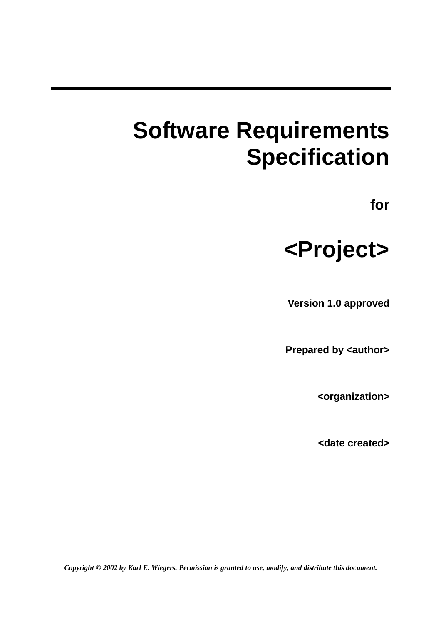# **Software Requirements Specification**

**for** 



**Version 1.0 approved** 

**Prepared by <author>** 

**<organization>** 

**<date created>** 

*Copyright © 2002 by Karl E. Wiegers. Permission is granted to use, modify, and distribute this document.*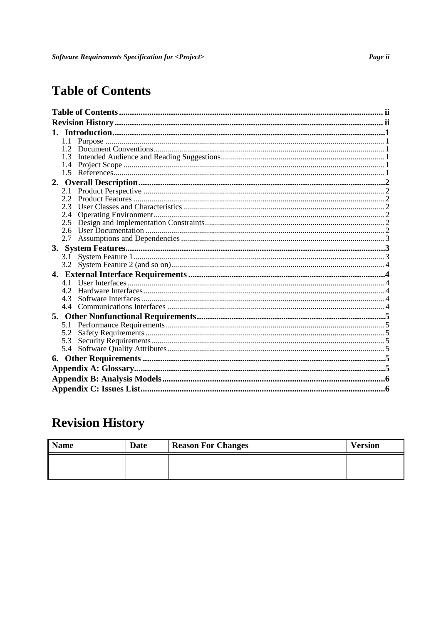# **Table of Contents**

|  | 1.1           |  |  |  |  |  |  |
|--|---------------|--|--|--|--|--|--|
|  |               |  |  |  |  |  |  |
|  |               |  |  |  |  |  |  |
|  | 1.4           |  |  |  |  |  |  |
|  | 1.5           |  |  |  |  |  |  |
|  |               |  |  |  |  |  |  |
|  | 2.1           |  |  |  |  |  |  |
|  | $2.2^{\circ}$ |  |  |  |  |  |  |
|  | 2.3           |  |  |  |  |  |  |
|  | 2.4           |  |  |  |  |  |  |
|  | 2.5           |  |  |  |  |  |  |
|  | 2.6           |  |  |  |  |  |  |
|  | 2.7           |  |  |  |  |  |  |
|  |               |  |  |  |  |  |  |
|  | 3.1           |  |  |  |  |  |  |
|  |               |  |  |  |  |  |  |
|  |               |  |  |  |  |  |  |
|  | 4.1           |  |  |  |  |  |  |
|  | 42            |  |  |  |  |  |  |
|  | 4.3           |  |  |  |  |  |  |
|  |               |  |  |  |  |  |  |
|  |               |  |  |  |  |  |  |
|  | 5.1           |  |  |  |  |  |  |
|  | 5.2           |  |  |  |  |  |  |
|  | 5.3           |  |  |  |  |  |  |
|  | 5.4           |  |  |  |  |  |  |
|  |               |  |  |  |  |  |  |
|  |               |  |  |  |  |  |  |
|  |               |  |  |  |  |  |  |
|  |               |  |  |  |  |  |  |
|  |               |  |  |  |  |  |  |

# **Revision History**

| <b>Name</b> | Date | <b>Reason For Changes</b> | <b>Version</b> |
|-------------|------|---------------------------|----------------|
|             |      |                           |                |
|             |      |                           |                |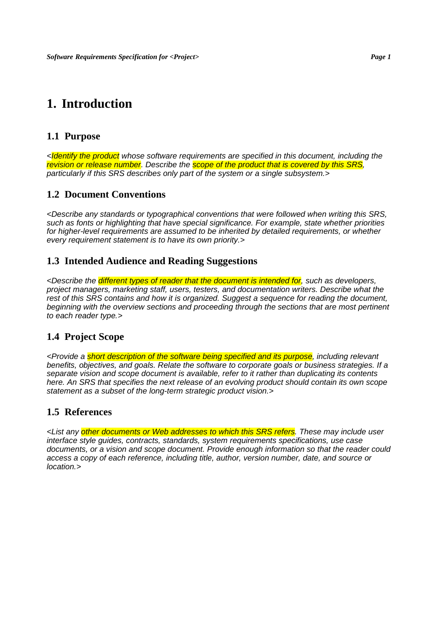# **1. Introduction**

#### **1.1 Purpose**

<**Identify the product** whose software requirements are specified in this document, including the revision or release number. Describe the **scope of the product that is covered by this SRS**, particularly if this SRS describes only part of the system or a single subsystem.>

#### **1.2 Document Conventions**

<Describe any standards or typographical conventions that were followed when writing this SRS, such as fonts or highlighting that have special significance. For example, state whether priorities for higher-level requirements are assumed to be inherited by detailed requirements, or whether every requirement statement is to have its own priority.>

#### **1.3 Intended Audience and Reading Suggestions**

<Describe the *different types of reader that the document is intended for*, such as developers, project managers, marketing staff, users, testers, and documentation writers. Describe what the rest of this SRS contains and how it is organized. Suggest a sequence for reading the document, beginning with the overview sections and proceeding through the sections that are most pertinent to each reader type.>

#### **1.4 Project Scope**

<Provide a short description of the software being specified and its purpose, including relevant benefits, objectives, and goals. Relate the software to corporate goals or business strategies. If a separate vision and scope document is available, refer to it rather than duplicating its contents here. An SRS that specifies the next release of an evolving product should contain its own scope statement as a subset of the long-term strategic product vision.>

#### **1.5 References**

<List any other documents or Web addresses to which this SRS refers. These may include user interface style guides, contracts, standards, system requirements specifications, use case documents, or a vision and scope document. Provide enough information so that the reader could access a copy of each reference, including title, author, version number, date, and source or location.>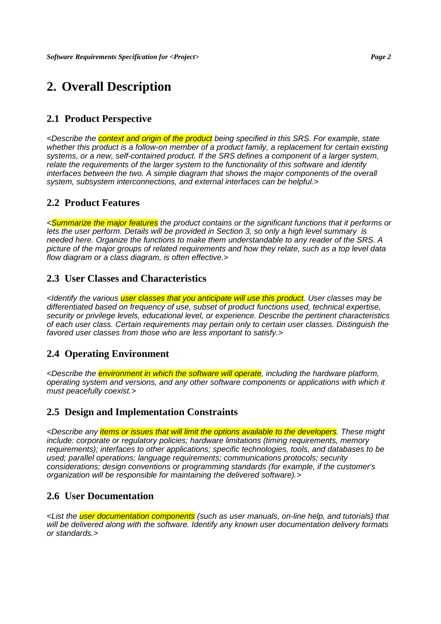# **2. Overall Description**

#### **2.1 Product Perspective**

<Describe the **context and origin of the product** being specified in this SRS. For example, state whether this product is a follow-on member of a product family, a replacement for certain existing systems, or a new, self-contained product. If the SRS defines a component of a larger system, relate the requirements of the larger system to the functionality of this software and identify interfaces between the two. A simple diagram that shows the major components of the overall system, subsystem interconnections, and external interfaces can be helpful.>

#### **2.2 Product Features**

<Summarize the major features the product contains or the significant functions that it performs or lets the user perform. Details will be provided in Section 3, so only a high level summary is needed here. Organize the functions to make them understandable to any reader of the SRS. A picture of the major groups of related requirements and how they relate, such as a top level data flow diagram or a class diagram, is often effective.>

#### **2.3 User Classes and Characteristics**

<Identify the various user classes that you anticipate will use this product. User classes may be differentiated based on frequency of use, subset of product functions used, technical expertise, security or privilege levels, educational level, or experience. Describe the pertinent characteristics of each user class. Certain requirements may pertain only to certain user classes. Distinguish the favored user classes from those who are less important to satisfy.>

#### **2.4 Operating Environment**

<Describe the *environment in which the software will operate*, including the hardware platform, operating system and versions, and any other software components or applications with which it must peacefully coexist.>

#### **2.5 Design and Implementation Constraints**

<Describe any *items or issues that will limit the options available to the developers*. These might include: corporate or regulatory policies; hardware limitations (timing requirements, memory requirements); interfaces to other applications; specific technologies, tools, and databases to be used; parallel operations; language requirements; communications protocols; security considerations; design conventions or programming standards (for example, if the customer's organization will be responsible for maintaining the delivered software).>

#### **2.6 User Documentation**

<List the user documentation components (such as user manuals, on-line help, and tutorials) that will be delivered along with the software. Identify any known user documentation delivery formats or standards.>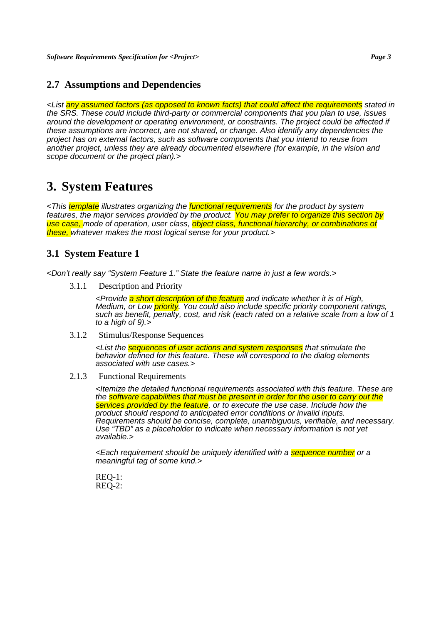#### **2.7 Assumptions and Dependencies**

<List any assumed factors (as opposed to known facts) that could affect the requirements stated in the SRS. These could include third-party or commercial components that you plan to use, issues around the development or operating environment, or constraints. The project could be affected if these assumptions are incorrect, are not shared, or change. Also identify any dependencies the project has on external factors, such as software components that you intend to reuse from another project, unless they are already documented elsewhere (for example, in the vision and scope document or the project plan).>

### **3. System Features**

<This template illustrates organizing the functional requirements for the product by system features, the major services provided by the product. You may prefer to organize this section by use case, mode of operation, user class, *object class, functional hierarchy*, or combinations of these, whatever makes the most logical sense for your product.>

#### **3.1 System Feature 1**

<Don't really say "System Feature 1." State the feature name in just a few words.>

3.1.1 Description and Priority

<Provide a short description of the feature and indicate whether it is of High, Medium, or Low *priority*. You could also include specific priority component ratings, such as benefit, penalty, cost, and risk (each rated on a relative scale from a low of 1 to a high of 9).>

3.1.2 Stimulus/Response Sequences

<List the **sequences of user actions and system responses** that stimulate the behavior defined for this feature. These will correspond to the dialog elements associated with use cases.>

2.1.3 Functional Requirements

<Itemize the detailed functional requirements associated with this feature. These are the software capabilities that must be present in order for the user to carry out the services provided by the feature, or to execute the use case. Include how the product should respond to anticipated error conditions or invalid inputs. Requirements should be concise, complete, unambiguous, verifiable, and necessary. Use "TBD" as a placeholder to indicate when necessary information is not yet available.>

<Each requirement should be uniquely identified with a **sequence number** or a meaningful tag of some kind.>

REQ-1:  $REO-2$ :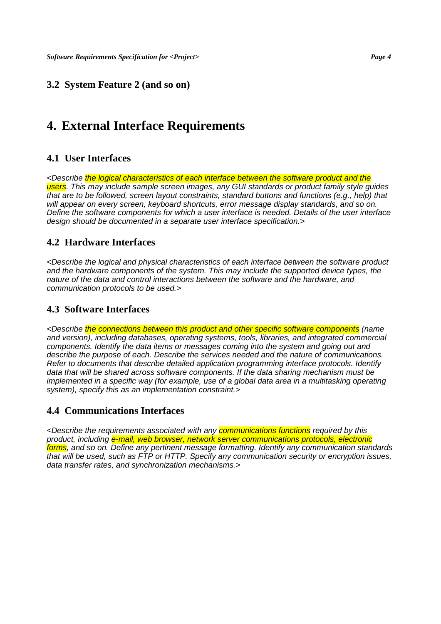#### **3.2 System Feature 2 (and so on)**

# **4. External Interface Requirements**

#### **4.1 User Interfaces**

<Describe the logical characteristics of each interface between the software product and the users. This may include sample screen images, any GUI standards or product family style quides that are to be followed, screen layout constraints, standard buttons and functions (e.g., help) that will appear on every screen, keyboard shortcuts, error message display standards, and so on. Define the software components for which a user interface is needed. Details of the user interface design should be documented in a separate user interface specification.>

#### **4.2 Hardware Interfaces**

<Describe the logical and physical characteristics of each interface between the software product and the hardware components of the system. This may include the supported device types, the nature of the data and control interactions between the software and the hardware, and communication protocols to be used.>

#### **4.3 Software Interfaces**

<Describe the connections between this product and other specific software components (name and version), including databases, operating systems, tools, libraries, and integrated commercial components. Identify the data items or messages coming into the system and going out and describe the purpose of each. Describe the services needed and the nature of communications. Refer to documents that describe detailed application programming interface protocols. Identify data that will be shared across software components. If the data sharing mechanism must be implemented in a specific way (for example, use of a global data area in a multitasking operating system), specify this as an implementation constraint.>

#### **4.4 Communications Interfaces**

<Describe the requirements associated with any **communications functions** required by this product, including e-mail, web browser, network server communications protocols, electronic forms, and so on. Define any pertinent message formatting. Identify any communication standards that will be used, such as FTP or HTTP. Specify any communication security or encryption issues, data transfer rates, and synchronization mechanisms.>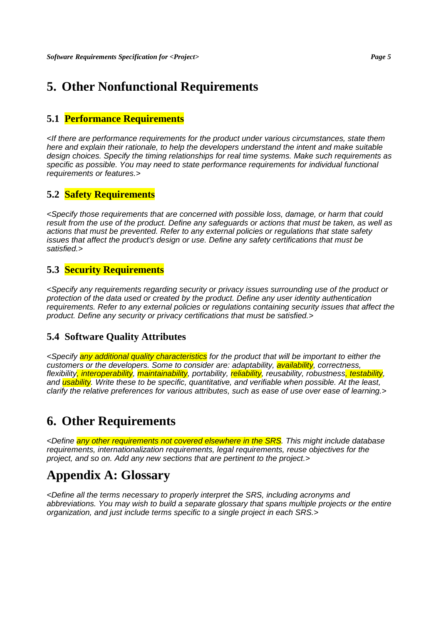# **5. Other Nonfunctional Requirements**

#### **5.1 Performance Requirements**

<If there are performance requirements for the product under various circumstances, state them here and explain their rationale, to help the developers understand the intent and make suitable design choices. Specify the timing relationships for real time systems. Make such requirements as specific as possible. You may need to state performance requirements for individual functional requirements or features.>

#### **5.2 Safety Requirements**

<Specify those requirements that are concerned with possible loss, damage, or harm that could result from the use of the product. Define any safeguards or actions that must be taken, as well as actions that must be prevented. Refer to any external policies or regulations that state safety issues that affect the product's design or use. Define any safety certifications that must be satisfied.>

#### **5.3 Security Requirements**

<Specify any requirements regarding security or privacy issues surrounding use of the product or protection of the data used or created by the product. Define any user identity authentication requirements. Refer to any external policies or regulations containing security issues that affect the product. Define any security or privacy certifications that must be satisfied.>

#### **5.4 Software Quality Attributes**

<Specify any additional quality characteristics for the product that will be important to either the customers or the developers. Some to consider are: adaptability, availability, correctness, flexibility, interoperability, maintainability, portability, reliability, reusability, robustness<mark>, testability</mark>, and **usability**. Write these to be specific, quantitative, and verifiable when possible. At the least, clarify the relative preferences for various attributes, such as ease of use over ease of learning.>

# **6. Other Requirements**

<Define any other requirements not covered elsewhere in the SRS. This might include database requirements, internationalization requirements, legal requirements, reuse objectives for the project, and so on. Add any new sections that are pertinent to the project.>

# **Appendix A: Glossary**

<Define all the terms necessary to properly interpret the SRS, including acronyms and abbreviations. You may wish to build a separate glossary that spans multiple projects or the entire organization, and just include terms specific to a single project in each SRS.>